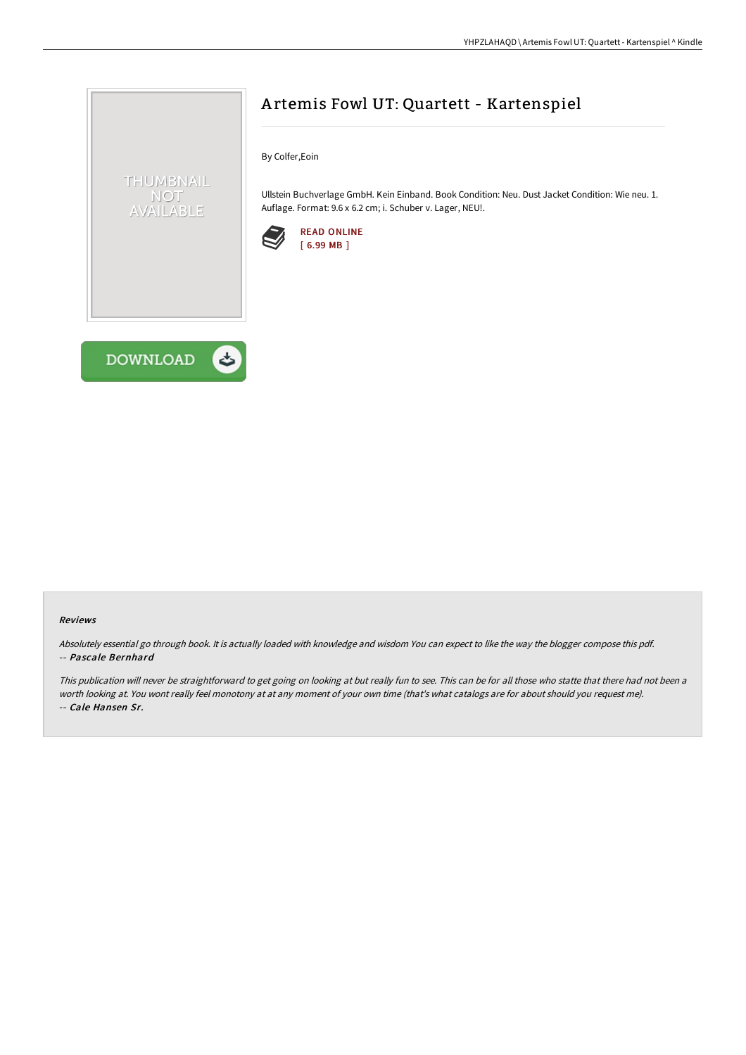



# A rtemis Fowl UT: Quartett - Kartenspiel

By Colfer,Eoin

Ullstein Buchverlage GmbH. Kein Einband. Book Condition: Neu. Dust Jacket Condition: Wie neu. 1. Auflage. Format: 9.6 x 6.2 cm; i. Schuber v. Lager, NEU!.



#### Reviews

Absolutely essential go through book. It is actually loaded with knowledge and wisdom You can expect to like the way the blogger compose this pdf. -- Pascale Bernhard

This publication will never be straightforward to get going on looking at but really fun to see. This can be for all those who statte that there had not been a worth looking at. You wont really feel monotony at at any moment of your own time (that's what catalogs are for about should you request me). -- Cale Hansen Sr.